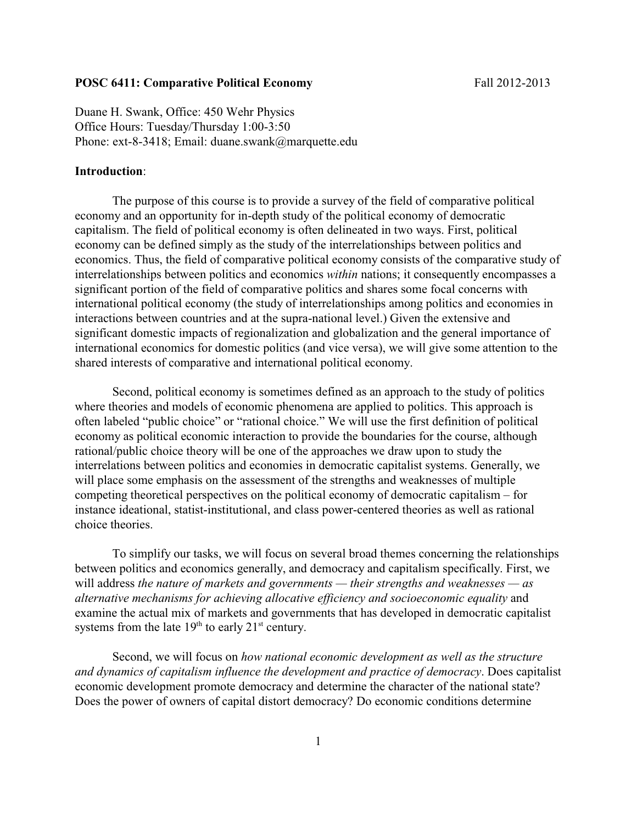### **POSC 6411: Comparative Political Economy** Fall 2012-2013

Duane H. Swank, Office: 450 Wehr Physics Office Hours: Tuesday/Thursday 1:00-3:50 Phone: ext-8-3418; Email: duane.swank@marquette.edu

### **Introduction**:

The purpose of this course is to provide a survey of the field of comparative political economy and an opportunity for in-depth study of the political economy of democratic capitalism. The field of political economy is often delineated in two ways. First, political economy can be defined simply as the study of the interrelationships between politics and economics. Thus, the field of comparative political economy consists of the comparative study of interrelationships between politics and economics *within* nations; it consequently encompasses a significant portion of the field of comparative politics and shares some focal concerns with international political economy (the study of interrelationships among politics and economies in interactions between countries and at the supra-national level.) Given the extensive and significant domestic impacts of regionalization and globalization and the general importance of international economics for domestic politics (and vice versa), we will give some attention to the shared interests of comparative and international political economy.

Second, political economy is sometimes defined as an approach to the study of politics where theories and models of economic phenomena are applied to politics. This approach is often labeled "public choice" or "rational choice." We will use the first definition of political economy as political economic interaction to provide the boundaries for the course, although rational/public choice theory will be one of the approaches we draw upon to study the interrelations between politics and economies in democratic capitalist systems. Generally, we will place some emphasis on the assessment of the strengths and weaknesses of multiple competing theoretical perspectives on the political economy of democratic capitalism – for instance ideational, statist-institutional, and class power-centered theories as well as rational choice theories.

To simplify our tasks, we will focus on several broad themes concerning the relationships between politics and economics generally, and democracy and capitalism specifically. First, we will address *the nature of markets and governments — their strengths and weaknesses — as alternative mechanisms for achieving allocative efficiency and socioeconomic equality* and examine the actual mix of markets and governments that has developed in democratic capitalist systems from the late  $19<sup>th</sup>$  to early  $21<sup>st</sup>$  century.

Second, we will focus on *how national economic development as well as the structure and dynamics of capitalism influence the development and practice of democracy*. Does capitalist economic development promote democracy and determine the character of the national state? Does the power of owners of capital distort democracy? Do economic conditions determine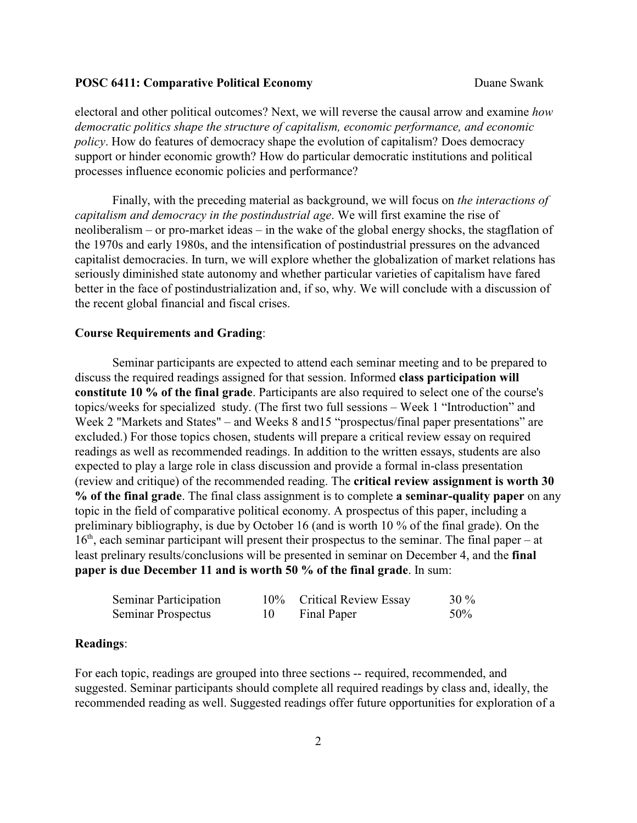electoral and other political outcomes? Next, we will reverse the causal arrow and examine *how democratic politics shape the structure of capitalism, economic performance, and economic policy*. How do features of democracy shape the evolution of capitalism? Does democracy support or hinder economic growth? How do particular democratic institutions and political processes influence economic policies and performance?

Finally, with the preceding material as background, we will focus on *the interactions of capitalism and democracy in the postindustrial age*. We will first examine the rise of neoliberalism – or pro-market ideas – in the wake of the global energy shocks, the stagflation of the 1970s and early 1980s, and the intensification of postindustrial pressures on the advanced capitalist democracies. In turn, we will explore whether the globalization of market relations has seriously diminished state autonomy and whether particular varieties of capitalism have fared better in the face of postindustrialization and, if so, why. We will conclude with a discussion of the recent global financial and fiscal crises.

#### **Course Requirements and Grading**:

Seminar participants are expected to attend each seminar meeting and to be prepared to discuss the required readings assigned for that session. Informed **class participation will constitute 10 % of the final grade**. Participants are also required to select one of the course's topics/weeks for specialized study. (The first two full sessions – Week 1 "Introduction" and Week 2 "Markets and States" – and Weeks 8 and 15 "prospectus/final paper presentations" are excluded.) For those topics chosen, students will prepare a critical review essay on required readings as well as recommended readings. In addition to the written essays, students are also expected to play a large role in class discussion and provide a formal in-class presentation (review and critique) of the recommended reading. The **critical review assignment is worth 30 % of the final grade**. The final class assignment is to complete **a seminar-quality paper** on any topic in the field of comparative political economy. A prospectus of this paper, including a preliminary bibliography, is due by October 16 (and is worth 10 % of the final grade). On the  $16<sup>th</sup>$ , each seminar participant will present their prospectus to the seminar. The final paper – at least prelinary results/conclusions will be presented in seminar on December 4, and the **final paper is due December 11 and is worth 50 % of the final grade**. In sum:

| <b>Seminar Participation</b> | 10% Critical Review Essay | $30\%$ |
|------------------------------|---------------------------|--------|
| Seminar Prospectus           | Final Paper               | 50%    |

### **Readings**:

For each topic, readings are grouped into three sections -- required, recommended, and suggested. Seminar participants should complete all required readings by class and, ideally, the recommended reading as well. Suggested readings offer future opportunities for exploration of a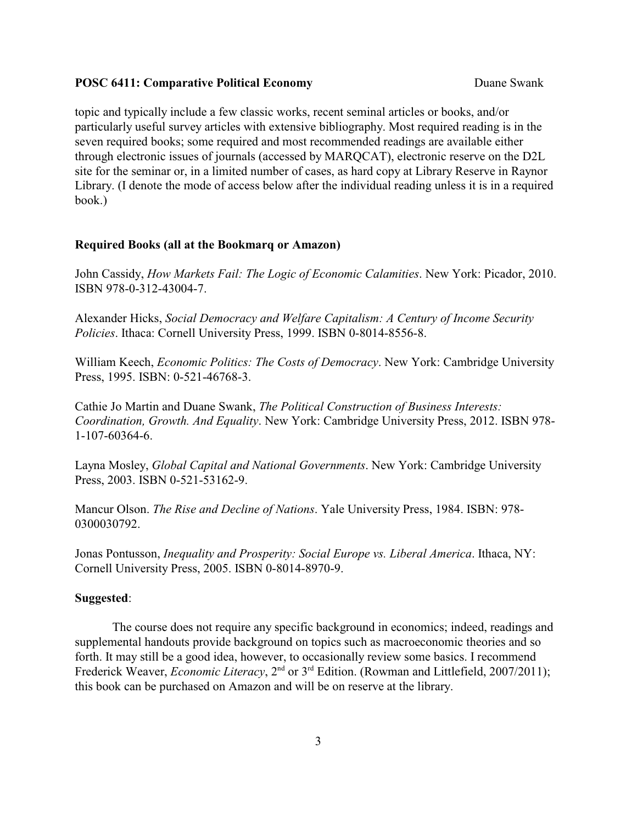topic and typically include a few classic works, recent seminal articles or books, and/or particularly useful survey articles with extensive bibliography. Most required reading is in the seven required books; some required and most recommended readings are available either through electronic issues of journals (accessed by MARQCAT), electronic reserve on the D2L site for the seminar or, in a limited number of cases, as hard copy at Library Reserve in Raynor Library. (I denote the mode of access below after the individual reading unless it is in a required book.)

### **Required Books (all at the Bookmarq or Amazon)**

John Cassidy, *How Markets Fail: The Logic of Economic Calamities*. New York: Picador, 2010. ISBN 978-0-312-43004-7.

Alexander Hicks, *Social Democracy and Welfare Capitalism: A Century of Income Security Policies*. Ithaca: Cornell University Press, 1999. ISBN 0-8014-8556-8.

William Keech, *Economic Politics: The Costs of Democracy*. New York: Cambridge University Press, 1995. ISBN: 0-521-46768-3.

Cathie Jo Martin and Duane Swank, *The Political Construction of Business Interests: Coordination, Growth. And Equality*. New York: Cambridge University Press, 2012. ISBN 978- 1-107-60364-6.

Layna Mosley, *Global Capital and National Governments*. New York: Cambridge University Press, 2003. ISBN 0-521-53162-9.

Mancur Olson. *The Rise and Decline of Nations*. Yale University Press, 1984. ISBN: 978- 0300030792.

Jonas Pontusson, *Inequality and Prosperity: Social Europe vs. Liberal America*. Ithaca, NY: Cornell University Press, 2005. ISBN 0-8014-8970-9.

#### **Suggested**:

The course does not require any specific background in economics; indeed, readings and supplemental handouts provide background on topics such as macroeconomic theories and so forth. It may still be a good idea, however, to occasionally review some basics. I recommend Frederick Weaver, *Economic Literacy*, 2<sup>nd</sup> or 3<sup>rd</sup> Edition. (Rowman and Littlefield, 2007/2011); this book can be purchased on Amazon and will be on reserve at the library.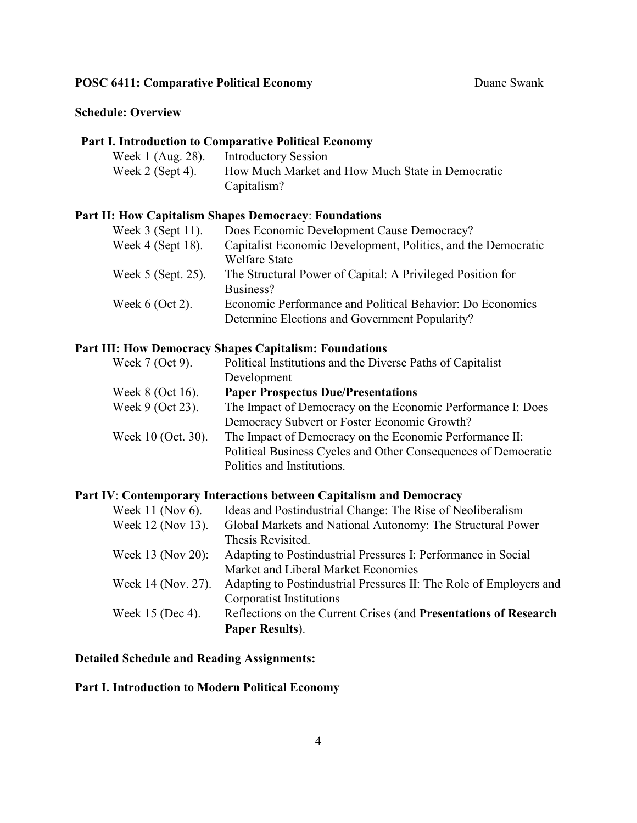## **Schedule: Overview**

# **Part I. Introduction to Comparative Political Economy**

| Week 1 (Aug. 28).  | <b>Introductory Session</b>                      |
|--------------------|--------------------------------------------------|
| Week $2$ (Sept 4). | How Much Market and How Much State in Democratic |
|                    | Capitalism?                                      |

# **Part II: How Capitalism Shapes Democracy**: **Foundations**

| Week $3$ (Sept 11).  | Does Economic Development Cause Democracy?                    |
|----------------------|---------------------------------------------------------------|
| Week $4$ (Sept 18).  | Capitalist Economic Development, Politics, and the Democratic |
|                      | <b>Welfare State</b>                                          |
| Week $5$ (Sept. 25). | The Structural Power of Capital: A Privileged Position for    |
|                      | Business?                                                     |
| Week $6$ (Oct 2).    | Economic Performance and Political Behavior: Do Economics     |
|                      | Determine Elections and Government Popularity?                |

# **Part III: How Democracy Shapes Capitalism: Foundations**

| Week 7 (Oct 9).    | Political Institutions and the Diverse Paths of Capitalist     |
|--------------------|----------------------------------------------------------------|
|                    | Development                                                    |
| Week $8$ (Oct 16). | <b>Paper Prospectus Due/Presentations</b>                      |
| Week 9 (Oct 23).   | The Impact of Democracy on the Economic Performance I: Does    |
|                    | Democracy Subvert or Foster Economic Growth?                   |
| Week 10 (Oct. 30). | The Impact of Democracy on the Economic Performance II:        |
|                    | Political Business Cycles and Other Consequences of Democratic |
|                    | Politics and Institutions.                                     |

# **Part IV**: **Contemporary Interactions between Capitalism and Democracy**

| Week 11 (Nov 6).   | Ideas and Postindustrial Change: The Rise of Neoliberalism         |
|--------------------|--------------------------------------------------------------------|
| Week 12 (Nov 13).  | Global Markets and National Autonomy: The Structural Power         |
|                    | Thesis Revisited.                                                  |
| Week 13 (Nov 20):  | Adapting to Postindustrial Pressures I: Performance in Social      |
|                    | Market and Liberal Market Economies                                |
| Week 14 (Nov. 27). | Adapting to Postindustrial Pressures II: The Role of Employers and |
|                    | Corporatist Institutions                                           |
| Week 15 (Dec 4).   | Reflections on the Current Crises (and Presentations of Research   |
|                    | Paper Results).                                                    |

# **Detailed Schedule and Reading Assignments:**

# **Part I. Introduction to Modern Political Economy**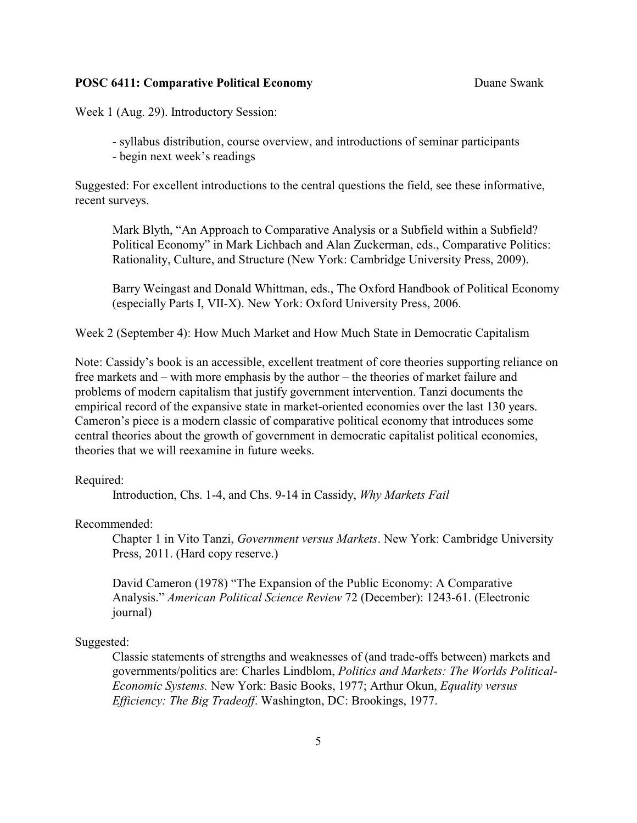Week 1 (Aug. 29). Introductory Session:

- syllabus distribution, course overview, and introductions of seminar participants

- begin next week's readings

Suggested: For excellent introductions to the central questions the field, see these informative, recent surveys.

Mark Blyth, "An Approach to Comparative Analysis or a Subfield within a Subfield? Political Economy" in Mark Lichbach and Alan Zuckerman, eds., Comparative Politics: Rationality, Culture, and Structure (New York: Cambridge University Press, 2009).

Barry Weingast and Donald Whittman, eds., The Oxford Handbook of Political Economy (especially Parts I, VII-X). New York: Oxford University Press, 2006.

Week 2 (September 4): How Much Market and How Much State in Democratic Capitalism

Note: Cassidy's book is an accessible, excellent treatment of core theories supporting reliance on free markets and – with more emphasis by the author – the theories of market failure and problems of modern capitalism that justify government intervention. Tanzi documents the empirical record of the expansive state in market-oriented economies over the last 130 years. Cameron's piece is a modern classic of comparative political economy that introduces some central theories about the growth of government in democratic capitalist political economies, theories that we will reexamine in future weeks.

### Required:

Introduction, Chs. 1-4, and Chs. 9-14 in Cassidy, *Why Markets Fail*

Recommended:

Chapter 1 in Vito Tanzi, *Government versus Markets*. New York: Cambridge University Press, 2011. (Hard copy reserve.)

David Cameron (1978) "The Expansion of the Public Economy: A Comparative Analysis." *American Political Science Review* 72 (December): 1243-61. (Electronic journal)

#### Suggested:

Classic statements of strengths and weaknesses of (and trade-offs between) markets and governments/politics are: Charles Lindblom, *Politics and Markets: The Worlds Political-Economic Systems.* New York: Basic Books, 1977; Arthur Okun, *Equality versus Efficiency: The Big Tradeoff*. Washington, DC: Brookings, 1977.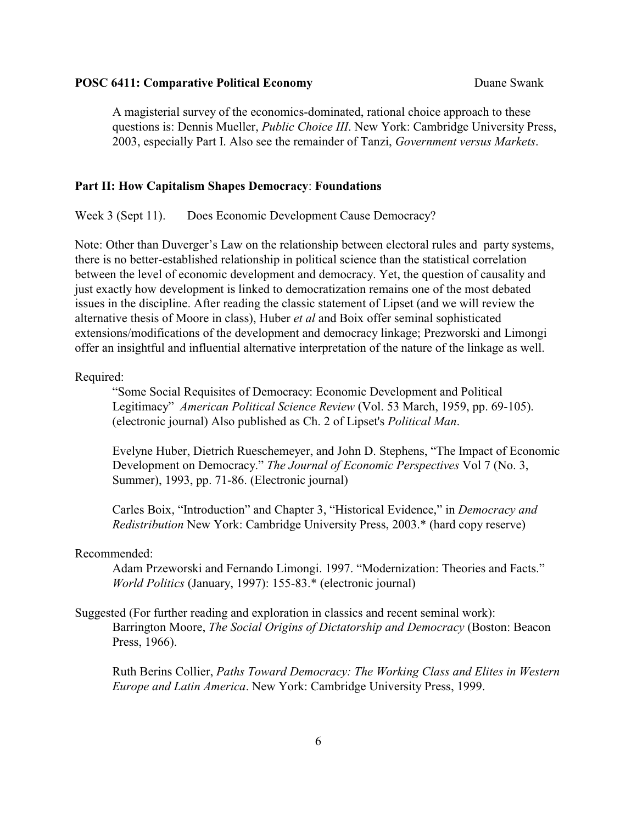A magisterial survey of the economics-dominated, rational choice approach to these questions is: Dennis Mueller, *Public Choice III*. New York: Cambridge University Press, 2003, especially Part I. Also see the remainder of Tanzi, *Government versus Markets*.

#### **Part II: How Capitalism Shapes Democracy**: **Foundations**

Week 3 (Sept 11). Does Economic Development Cause Democracy?

Note: Other than Duverger's Law on the relationship between electoral rules and party systems, there is no better-established relationship in political science than the statistical correlation between the level of economic development and democracy. Yet, the question of causality and just exactly how development is linked to democratization remains one of the most debated issues in the discipline. After reading the classic statement of Lipset (and we will review the alternative thesis of Moore in class), Huber *et al* and Boix offer seminal sophisticated extensions/modifications of the development and democracy linkage; Prezworski and Limongi offer an insightful and influential alternative interpretation of the nature of the linkage as well.

#### Required:

"Some Social Requisites of Democracy: Economic Development and Political Legitimacy" *American Political Science Review* (Vol. 53 March, 1959, pp. 69-105). (electronic journal) Also published as Ch. 2 of Lipset's *Political Man*.

Evelyne Huber, Dietrich Rueschemeyer, and John D. Stephens, "The Impact of Economic Development on Democracy." *The Journal of Economic Perspectives* Vol 7 (No. 3, Summer), 1993, pp. 71-86. (Electronic journal)

Carles Boix, "Introduction" and Chapter 3, "Historical Evidence," in *Democracy and Redistribution* New York: Cambridge University Press, 2003.\* (hard copy reserve)

### Recommended:

Adam Przeworski and Fernando Limongi. 1997. "Modernization: Theories and Facts." *World Politics* (January, 1997): 155-83.\* (electronic journal)

# Suggested (For further reading and exploration in classics and recent seminal work): Barrington Moore, *The Social Origins of Dictatorship and Democracy* (Boston: Beacon Press, 1966).

Ruth Berins Collier, *Paths Toward Democracy: The Working Class and Elites in Western Europe and Latin America*. New York: Cambridge University Press, 1999.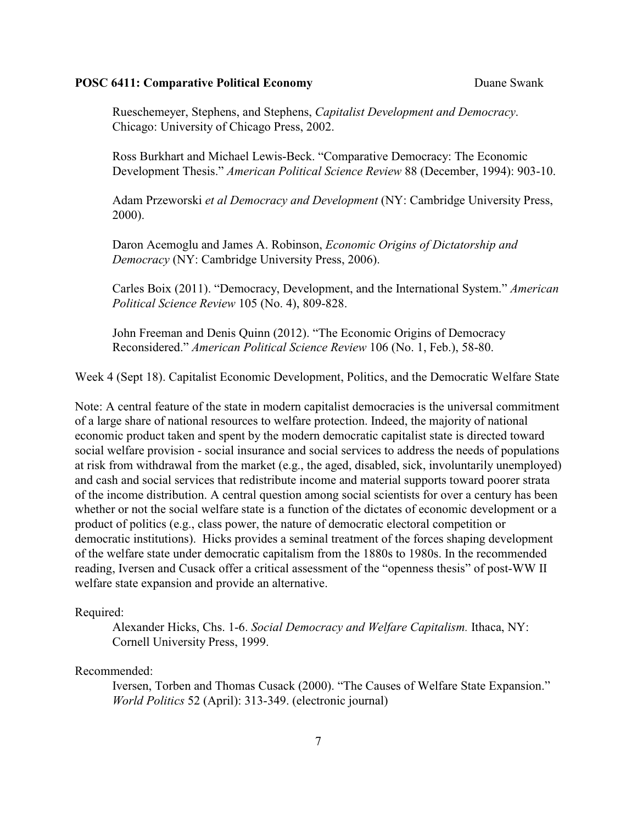Rueschemeyer, Stephens, and Stephens, *Capitalist Development and Democracy*. Chicago: University of Chicago Press, 2002.

Ross Burkhart and Michael Lewis-Beck. "Comparative Democracy: The Economic Development Thesis." *American Political Science Review* 88 (December, 1994): 903-10.

Adam Przeworski *et al Democracy and Development* (NY: Cambridge University Press, 2000).

Daron Acemoglu and James A. Robinson, *Economic Origins of Dictatorship and Democracy* (NY: Cambridge University Press, 2006).

Carles Boix (2011). "Democracy, Development, and the International System." *American Political Science Review* 105 (No. 4), 809-828.

John Freeman and Denis Quinn (2012). "The Economic Origins of Democracy Reconsidered." *American Political Science Review* 106 (No. 1, Feb.), 58-80.

Week 4 (Sept 18). Capitalist Economic Development, Politics, and the Democratic Welfare State

Note: A central feature of the state in modern capitalist democracies is the universal commitment of a large share of national resources to welfare protection. Indeed, the majority of national economic product taken and spent by the modern democratic capitalist state is directed toward social welfare provision - social insurance and social services to address the needs of populations at risk from withdrawal from the market (e.g., the aged, disabled, sick, involuntarily unemployed) and cash and social services that redistribute income and material supports toward poorer strata of the income distribution. A central question among social scientists for over a century has been whether or not the social welfare state is a function of the dictates of economic development or a product of politics (e.g., class power, the nature of democratic electoral competition or democratic institutions). Hicks provides a seminal treatment of the forces shaping development of the welfare state under democratic capitalism from the 1880s to 1980s. In the recommended reading, Iversen and Cusack offer a critical assessment of the "openness thesis" of post-WW II welfare state expansion and provide an alternative.

#### Required:

Alexander Hicks, Chs. 1-6. *Social Democracy and Welfare Capitalism.* Ithaca, NY: Cornell University Press, 1999.

#### Recommended:

Iversen, Torben and Thomas Cusack (2000). "The Causes of Welfare State Expansion." *World Politics* 52 (April): 313-349. (electronic journal)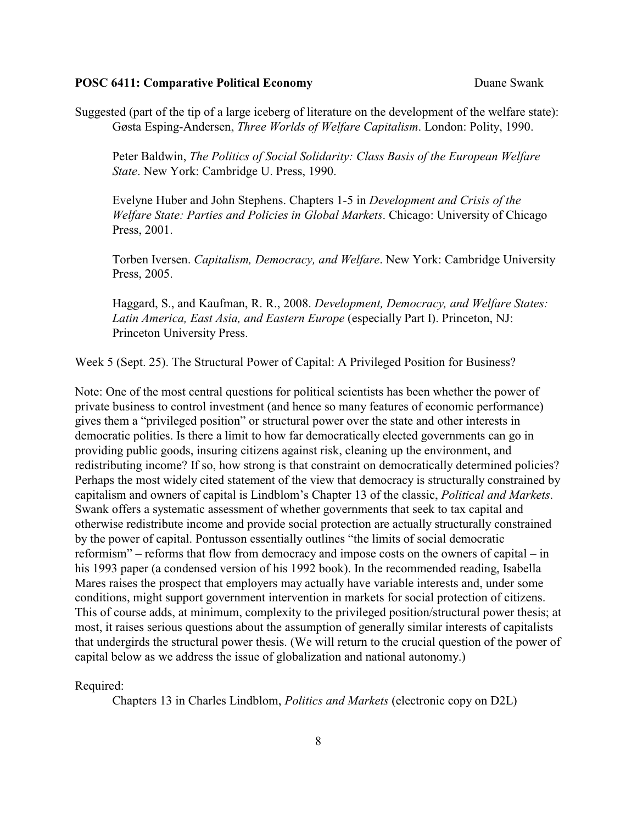Suggested (part of the tip of a large iceberg of literature on the development of the welfare state): Gøsta Esping-Andersen, *Three Worlds of Welfare Capitalism*. London: Polity, 1990.

Peter Baldwin, *The Politics of Social Solidarity: Class Basis of the European Welfare State*. New York: Cambridge U. Press, 1990.

Evelyne Huber and John Stephens. Chapters 1-5 in *Development and Crisis of the Welfare State: Parties and Policies in Global Markets*. Chicago: University of Chicago Press, 2001.

Torben Iversen. *Capitalism, Democracy, and Welfare*. New York: Cambridge University Press, 2005.

Haggard, S., and Kaufman, R. R., 2008. *Development, Democracy, and Welfare States: Latin America, East Asia, and Eastern Europe* (especially Part I). Princeton, NJ: Princeton University Press.

Week 5 (Sept. 25). The Structural Power of Capital: A Privileged Position for Business?

Note: One of the most central questions for political scientists has been whether the power of private business to control investment (and hence so many features of economic performance) gives them a "privileged position" or structural power over the state and other interests in democratic polities. Is there a limit to how far democratically elected governments can go in providing public goods, insuring citizens against risk, cleaning up the environment, and redistributing income? If so, how strong is that constraint on democratically determined policies? Perhaps the most widely cited statement of the view that democracy is structurally constrained by capitalism and owners of capital is Lindblom's Chapter 13 of the classic, *Political and Markets*. Swank offers a systematic assessment of whether governments that seek to tax capital and otherwise redistribute income and provide social protection are actually structurally constrained by the power of capital. Pontusson essentially outlines "the limits of social democratic reformism" – reforms that flow from democracy and impose costs on the owners of capital – in his 1993 paper (a condensed version of his 1992 book). In the recommended reading, Isabella Mares raises the prospect that employers may actually have variable interests and, under some conditions, might support government intervention in markets for social protection of citizens. This of course adds, at minimum, complexity to the privileged position/structural power thesis; at most, it raises serious questions about the assumption of generally similar interests of capitalists that undergirds the structural power thesis. (We will return to the crucial question of the power of capital below as we address the issue of globalization and national autonomy.)

Required:

Chapters 13 in Charles Lindblom, *Politics and Markets* (electronic copy on D2L)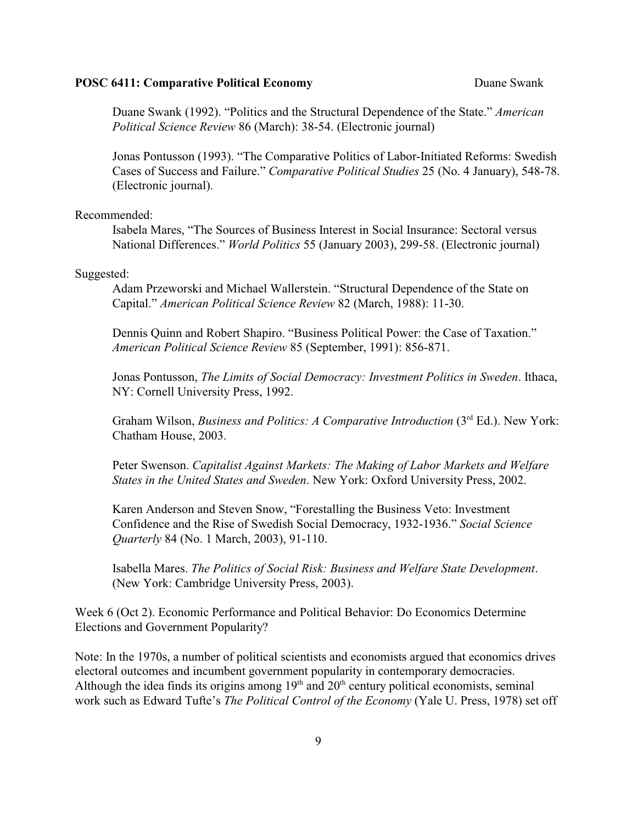Duane Swank (1992). "Politics and the Structural Dependence of the State." *American Political Science Review* 86 (March): 38-54. (Electronic journal)

Jonas Pontusson (1993). "The Comparative Politics of Labor-Initiated Reforms: Swedish Cases of Success and Failure." *Comparative Political Studies* 25 (No. 4 January), 548-78. (Electronic journal).

Recommended:

Isabela Mares, "The Sources of Business Interest in Social Insurance: Sectoral versus National Differences." *World Politics* 55 (January 2003), 299-58. (Electronic journal)

#### Suggested:

Adam Przeworski and Michael Wallerstein. "Structural Dependence of the State on Capital." *American Political Science Review* 82 (March, 1988): 11-30.

Dennis Quinn and Robert Shapiro. "Business Political Power: the Case of Taxation." *American Political Science Review* 85 (September, 1991): 856-871.

Jonas Pontusson, *The Limits of Social Democracy: Investment Politics in Sweden*. Ithaca, NY: Cornell University Press, 1992.

Graham Wilson, *Business and Politics: A Comparative Introduction* (3<sup>rd</sup> Ed.). New York: Chatham House, 2003.

Peter Swenson. *Capitalist Against Markets: The Making of Labor Markets and Welfare States in the United States and Sweden*. New York: Oxford University Press, 2002.

Karen Anderson and Steven Snow, "Forestalling the Business Veto: Investment Confidence and the Rise of Swedish Social Democracy, 1932-1936." *Social Science Quarterly* 84 (No. 1 March, 2003), 91-110.

Isabella Mares. *The Politics of Social Risk: Business and Welfare State Development*. (New York: Cambridge University Press, 2003).

Week 6 (Oct 2). Economic Performance and Political Behavior: Do Economics Determine Elections and Government Popularity?

Note: In the 1970s, a number of political scientists and economists argued that economics drives electoral outcomes and incumbent government popularity in contemporary democracies. Although the idea finds its origins among  $19<sup>th</sup>$  and  $20<sup>th</sup>$  century political economists, seminal work such as Edward Tufte's *The Political Control of the Economy* (Yale U. Press, 1978) set off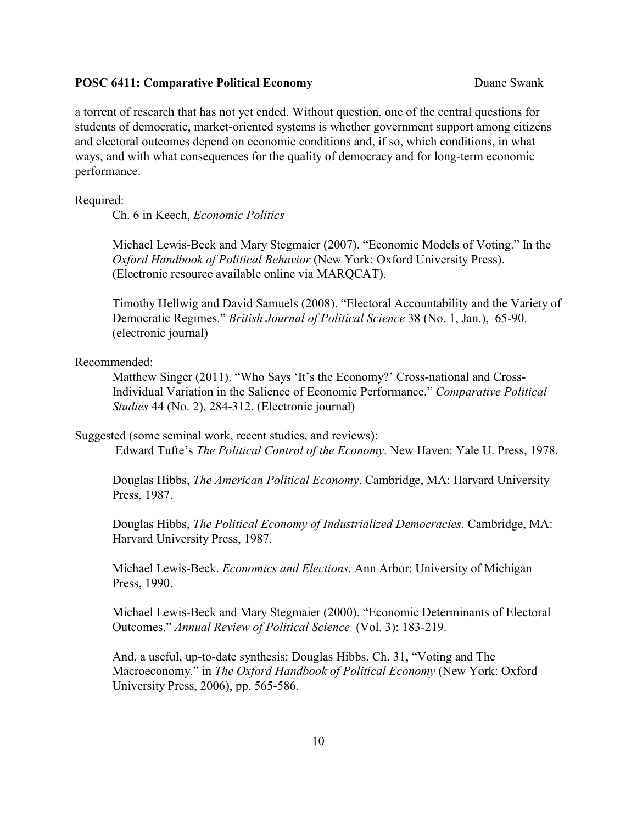a torrent of research that has not yet ended. Without question, one of the central questions for students of democratic, market-oriented systems is whether government support among citizens and electoral outcomes depend on economic conditions and, if so, which conditions, in what ways, and with what consequences for the quality of democracy and for long-term economic performance.

Required:

Ch. 6 in Keech, *Economic Politics*

Michael Lewis-Beck and Mary Stegmaier (2007). "Economic Models of Voting." In the *Oxford Handbook of Political Behavior* (New York: Oxford University Press). (Electronic resource available online via MARQCAT).

Timothy Hellwig and David Samuels (2008). "Electoral Accountability and the Variety of Democratic Regimes." *British Journal of Political Science* 38 (No. 1, Jan.), 65-90. (electronic journal)

Recommended:

Matthew Singer (2011). "Who Says 'It's the Economy?' Cross-national and Cross-Individual Variation in the Salience of Economic Performance." *Comparative Political Studies* 44 (No. 2), 284-312. (Electronic journal)

Suggested (some seminal work, recent studies, and reviews):

Edward Tufte's *The Political Control of the Economy*. New Haven: Yale U. Press, 1978.

Douglas Hibbs, *The American Political Economy*. Cambridge, MA: Harvard University Press, 1987.

Douglas Hibbs, *The Political Economy of Industrialized Democracies*. Cambridge, MA: Harvard University Press, 1987.

Michael Lewis-Beck. *Economics and Elections*. Ann Arbor: University of Michigan Press, 1990.

Michael Lewis-Beck and Mary Stegmaier (2000). "Economic Determinants of Electoral Outcomes." *Annual Review of Political Science* (Vol. 3): 183-219.

And, a useful, up-to-date synthesis: Douglas Hibbs, Ch. 31, "Voting and The Macroeconomy." in *The Oxford Handbook of Political Economy* (New York: Oxford University Press, 2006), pp. 565-586.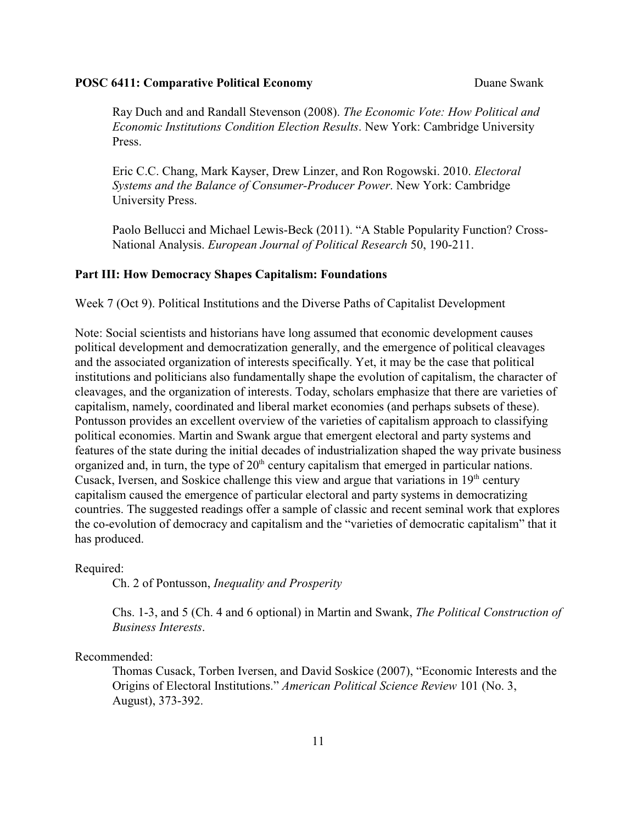Ray Duch and and Randall Stevenson (2008). *The Economic Vote: How Political and Economic Institutions Condition Election Results*. New York: Cambridge University Press.

Eric C.C. Chang, Mark Kayser, Drew Linzer, and Ron Rogowski. 2010. *Electoral Systems and the Balance of Consumer-Producer Power*. New York: Cambridge University Press.

Paolo Bellucci and Michael Lewis-Beck (2011). "A Stable Popularity Function? Cross-National Analysis. *European Journal of Political Research* 50, 190-211.

### **Part III: How Democracy Shapes Capitalism: Foundations**

Week 7 (Oct 9). Political Institutions and the Diverse Paths of Capitalist Development

Note: Social scientists and historians have long assumed that economic development causes political development and democratization generally, and the emergence of political cleavages and the associated organization of interests specifically. Yet, it may be the case that political institutions and politicians also fundamentally shape the evolution of capitalism, the character of cleavages, and the organization of interests. Today, scholars emphasize that there are varieties of capitalism, namely, coordinated and liberal market economies (and perhaps subsets of these). Pontusson provides an excellent overview of the varieties of capitalism approach to classifying political economies. Martin and Swank argue that emergent electoral and party systems and features of the state during the initial decades of industrialization shaped the way private business organized and, in turn, the type of  $20<sup>th</sup>$  century capitalism that emerged in particular nations. Cusack, Iversen, and Soskice challenge this view and argue that variations in  $19<sup>th</sup>$  century capitalism caused the emergence of particular electoral and party systems in democratizing countries. The suggested readings offer a sample of classic and recent seminal work that explores the co-evolution of democracy and capitalism and the "varieties of democratic capitalism" that it has produced.

#### Required:

Ch. 2 of Pontusson, *Inequality and Prosperity*

Chs. 1-3, and 5 (Ch. 4 and 6 optional) in Martin and Swank, *The Political Construction of Business Interests*.

### Recommended:

Thomas Cusack, Torben Iversen, and David Soskice (2007), "Economic Interests and the Origins of Electoral Institutions." *American Political Science Review* 101 (No. 3, August), 373-392.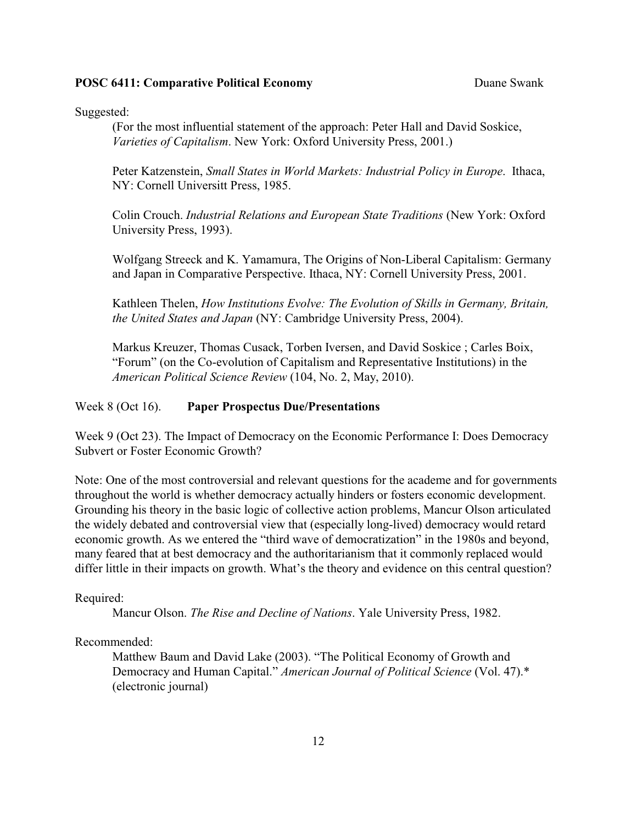Suggested:

(For the most influential statement of the approach: Peter Hall and David Soskice, *Varieties of Capitalism*. New York: Oxford University Press, 2001.)

Peter Katzenstein, *Small States in World Markets: Industrial Policy in Europe*. Ithaca, NY: Cornell Universitt Press, 1985.

Colin Crouch. *Industrial Relations and European State Traditions* (New York: Oxford University Press, 1993).

Wolfgang Streeck and K. Yamamura, The Origins of Non-Liberal Capitalism: Germany and Japan in Comparative Perspective. Ithaca, NY: Cornell University Press, 2001.

Kathleen Thelen, *How Institutions Evolve: The Evolution of Skills in Germany, Britain, the United States and Japan* (NY: Cambridge University Press, 2004).

Markus Kreuzer, Thomas Cusack, Torben Iversen, and David Soskice ; Carles Boix, "Forum" (on the Co-evolution of Capitalism and Representative Institutions) in the *American Political Science Review* (104, No. 2, May, 2010).

### Week 8 (Oct 16). **Paper Prospectus Due/Presentations**

Week 9 (Oct 23). The Impact of Democracy on the Economic Performance I: Does Democracy Subvert or Foster Economic Growth?

Note: One of the most controversial and relevant questions for the academe and for governments throughout the world is whether democracy actually hinders or fosters economic development. Grounding his theory in the basic logic of collective action problems, Mancur Olson articulated the widely debated and controversial view that (especially long-lived) democracy would retard economic growth. As we entered the "third wave of democratization" in the 1980s and beyond, many feared that at best democracy and the authoritarianism that it commonly replaced would differ little in their impacts on growth. What's the theory and evidence on this central question?

#### Required:

Mancur Olson. *The Rise and Decline of Nations*. Yale University Press, 1982.

# Recommended:

Matthew Baum and David Lake (2003). "The Political Economy of Growth and Democracy and Human Capital." *American Journal of Political Science* (Vol. 47).\* (electronic journal)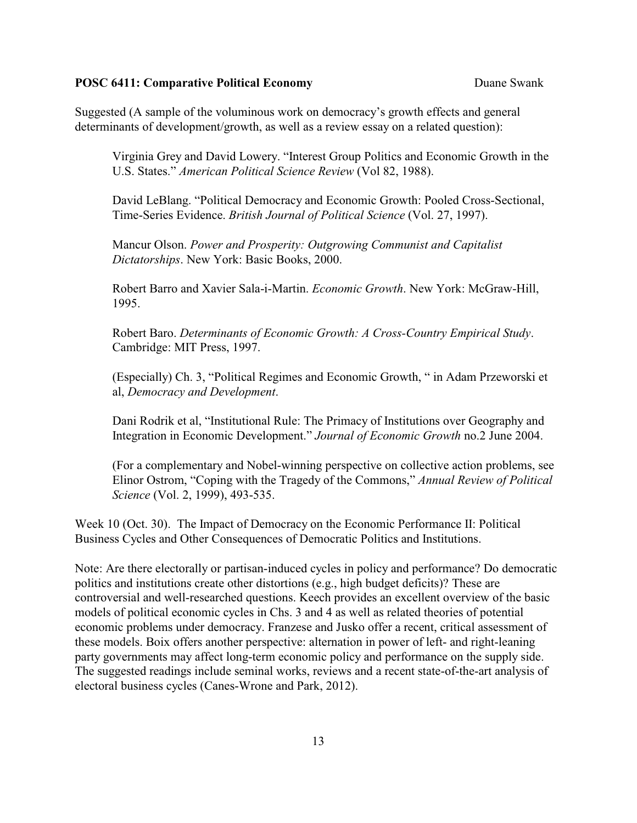Suggested (A sample of the voluminous work on democracy's growth effects and general determinants of development/growth, as well as a review essay on a related question):

Virginia Grey and David Lowery. "Interest Group Politics and Economic Growth in the U.S. States." *American Political Science Review* (Vol 82, 1988).

David LeBlang. "Political Democracy and Economic Growth: Pooled Cross-Sectional, Time-Series Evidence. *British Journal of Political Science* (Vol. 27, 1997).

Mancur Olson. *Power and Prosperity: Outgrowing Communist and Capitalist Dictatorships*. New York: Basic Books, 2000.

Robert Barro and Xavier Sala-i-Martin. *Economic Growth*. New York: McGraw-Hill, 1995.

Robert Baro. *Determinants of Economic Growth: A Cross-Country Empirical Study*. Cambridge: MIT Press, 1997.

(Especially) Ch. 3, "Political Regimes and Economic Growth, " in Adam Przeworski et al, *Democracy and Development*.

Dani Rodrik et al, "Institutional Rule: The Primacy of Institutions over Geography and Integration in Economic Development." *Journal of Economic Growth* no.2 June 2004.

(For a complementary and Nobel-winning perspective on collective action problems, see Elinor Ostrom, "Coping with the Tragedy of the Commons," *Annual Review of Political Science* (Vol. 2, 1999), 493-535.

Week 10 (Oct. 30). The Impact of Democracy on the Economic Performance II: Political Business Cycles and Other Consequences of Democratic Politics and Institutions.

Note: Are there electorally or partisan-induced cycles in policy and performance? Do democratic politics and institutions create other distortions (e.g., high budget deficits)? These are controversial and well-researched questions. Keech provides an excellent overview of the basic models of political economic cycles in Chs. 3 and 4 as well as related theories of potential economic problems under democracy. Franzese and Jusko offer a recent, critical assessment of these models. Boix offers another perspective: alternation in power of left- and right-leaning party governments may affect long-term economic policy and performance on the supply side. The suggested readings include seminal works, reviews and a recent state-of-the-art analysis of electoral business cycles (Canes-Wrone and Park, 2012).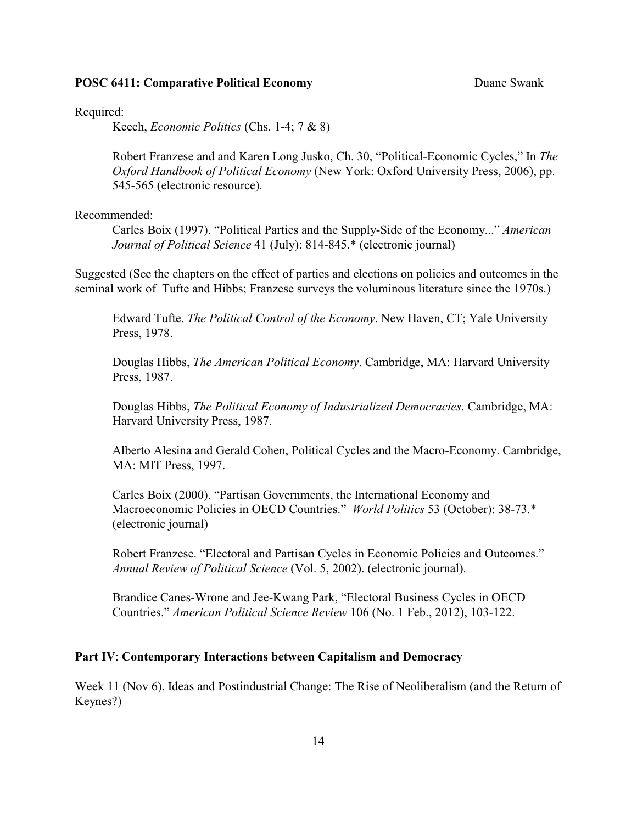Required:

Keech, *Economic Politics* (Chs. 1-4; 7 & 8)

Robert Franzese and and Karen Long Jusko, Ch. 30, "Political-Economic Cycles," In *The Oxford Handbook of Political Economy* (New York: Oxford University Press, 2006), pp. 545-565 (electronic resource).

Recommended:

Carles Boix (1997). "Political Parties and the Supply-Side of the Economy..." *American Journal of Political Science* 41 (July): 814-845.\* (electronic journal)

Suggested (See the chapters on the effect of parties and elections on policies and outcomes in the seminal work of Tufte and Hibbs; Franzese surveys the voluminous literature since the 1970s.)

Edward Tufte. *The Political Control of the Economy*. New Haven, CT; Yale University Press, 1978.

Douglas Hibbs, *The American Political Economy*. Cambridge, MA: Harvard University Press, 1987.

Douglas Hibbs, *The Political Economy of Industrialized Democracies*. Cambridge, MA: Harvard University Press, 1987.

Alberto Alesina and Gerald Cohen, Political Cycles and the Macro-Economy. Cambridge, MA: MIT Press, 1997.

Carles Boix (2000). "Partisan Governments, the International Economy and Macroeconomic Policies in OECD Countries." *World Politics* 53 (October): 38-73.\* (electronic journal)

Robert Franzese. "Electoral and Partisan Cycles in Economic Policies and Outcomes." *Annual Review of Political Science* (Vol. 5, 2002). (electronic journal).

Brandice Canes-Wrone and Jee-Kwang Park, "Electoral Business Cycles in OECD Countries." *American Political Science Review* 106 (No. 1 Feb., 2012), 103-122.

### **Part IV**: **Contemporary Interactions between Capitalism and Democracy**

Week 11 (Nov 6). Ideas and Postindustrial Change: The Rise of Neoliberalism (and the Return of Keynes?)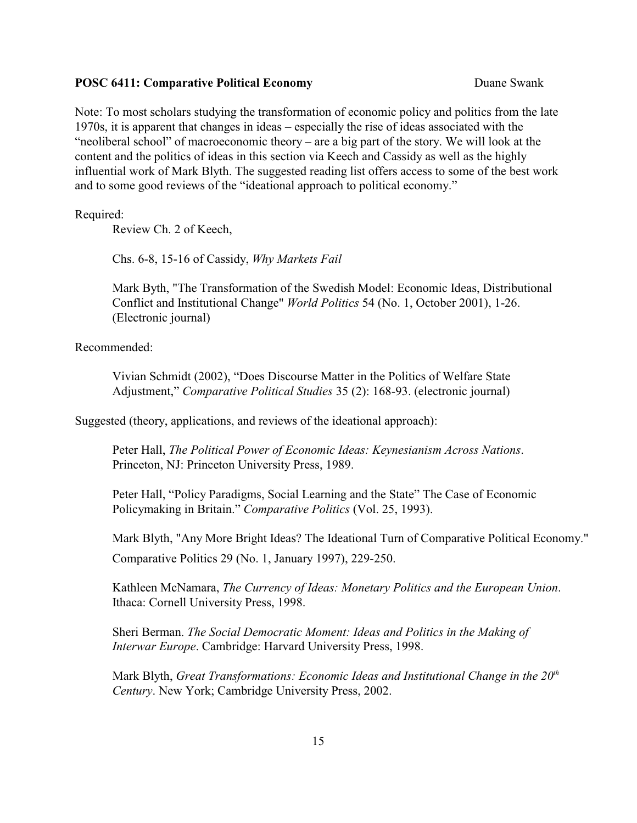Note: To most scholars studying the transformation of economic policy and politics from the late 1970s, it is apparent that changes in ideas – especially the rise of ideas associated with the "neoliberal school" of macroeconomic theory – are a big part of the story. We will look at the content and the politics of ideas in this section via Keech and Cassidy as well as the highly influential work of Mark Blyth. The suggested reading list offers access to some of the best work and to some good reviews of the "ideational approach to political economy."

Required:

Review Ch. 2 of Keech,

Chs. 6-8, 15-16 of Cassidy, *Why Markets Fail*

Mark Byth, "The Transformation of the Swedish Model: Economic Ideas, Distributional Conflict and Institutional Change" *World Politics* 54 (No. 1, October 2001), 1-26. (Electronic journal)

Recommended:

Vivian Schmidt (2002), "Does Discourse Matter in the Politics of Welfare State Adjustment," *Comparative Political Studies* 35 (2): 168-93. (electronic journal)

Suggested (theory, applications, and reviews of the ideational approach):

Peter Hall, *The Political Power of Economic Ideas: Keynesianism Across Nations*. Princeton, NJ: Princeton University Press, 1989.

Peter Hall, "Policy Paradigms, Social Learning and the State" The Case of Economic Policymaking in Britain." *Comparative Politics* (Vol. 25, 1993).

Mark Blyth, "Any More Bright Ideas? The Ideational Turn of Comparative Political Economy." Comparative Politics 29 (No. 1, January 1997), 229-250.

Kathleen McNamara, *The Currency of Ideas: Monetary Politics and the European Union*. Ithaca: Cornell University Press, 1998.

Sheri Berman. *The Social Democratic Moment: Ideas and Politics in the Making of Interwar Europe*. Cambridge: Harvard University Press, 1998.

Mark Blyth, *Great Transformations: Economic Ideas and Institutional Change in the 20th Century*. New York; Cambridge University Press, 2002.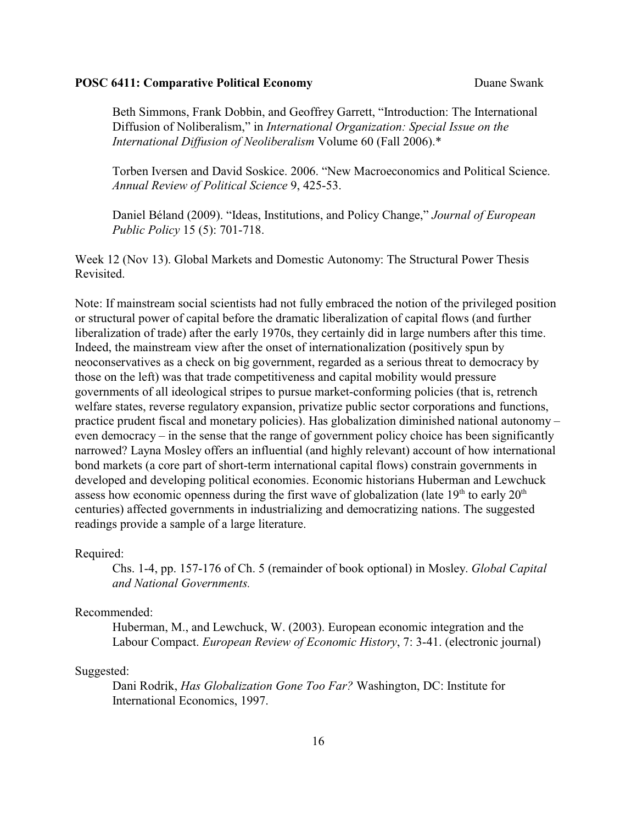Beth Simmons, Frank Dobbin, and Geoffrey Garrett, "Introduction: The International Diffusion of Noliberalism," in *International Organization: Special Issue on the International Diffusion of Neoliberalism* Volume 60 (Fall 2006).\*

Torben Iversen and David Soskice. 2006. "New Macroeconomics and Political Science. *Annual Review of Political Science* 9, 425-53.

Daniel Béland (2009). "Ideas, Institutions, and Policy Change," *Journal of European Public Policy* 15 (5): 701-718.

Week 12 (Nov 13). Global Markets and Domestic Autonomy: The Structural Power Thesis Revisited.

Note: If mainstream social scientists had not fully embraced the notion of the privileged position or structural power of capital before the dramatic liberalization of capital flows (and further liberalization of trade) after the early 1970s, they certainly did in large numbers after this time. Indeed, the mainstream view after the onset of internationalization (positively spun by neoconservatives as a check on big government, regarded as a serious threat to democracy by those on the left) was that trade competitiveness and capital mobility would pressure governments of all ideological stripes to pursue market-conforming policies (that is, retrench welfare states, reverse regulatory expansion, privatize public sector corporations and functions, practice prudent fiscal and monetary policies). Has globalization diminished national autonomy – even democracy – in the sense that the range of government policy choice has been significantly narrowed? Layna Mosley offers an influential (and highly relevant) account of how international bond markets (a core part of short-term international capital flows) constrain governments in developed and developing political economies. Economic historians Huberman and Lewchuck assess how economic openness during the first wave of globalization (late  $19<sup>th</sup>$  to early  $20<sup>th</sup>$ centuries) affected governments in industrializing and democratizing nations. The suggested readings provide a sample of a large literature.

### Required:

Chs. 1-4, pp. 157-176 of Ch. 5 (remainder of book optional) in Mosley. *Global Capital and National Governments.* 

#### Recommended:

Huberman, M., and Lewchuck, W. (2003). European economic integration and the Labour Compact. *European Review of Economic History*, 7: 3-41. (electronic journal)

#### Suggested:

Dani Rodrik, *Has Globalization Gone Too Far?* Washington, DC: Institute for International Economics, 1997.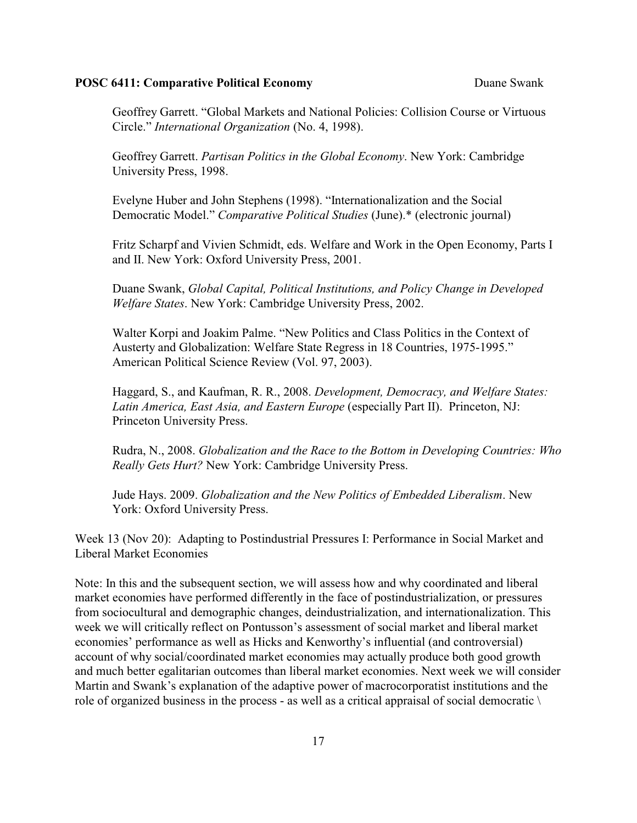Geoffrey Garrett. "Global Markets and National Policies: Collision Course or Virtuous Circle." *International Organization* (No. 4, 1998).

Geoffrey Garrett. *Partisan Politics in the Global Economy*. New York: Cambridge University Press, 1998.

Evelyne Huber and John Stephens (1998). "Internationalization and the Social Democratic Model." *Comparative Political Studies* (June).\* (electronic journal)

Fritz Scharpf and Vivien Schmidt, eds. Welfare and Work in the Open Economy, Parts I and II. New York: Oxford University Press, 2001.

Duane Swank, *Global Capital, Political Institutions, and Policy Change in Developed Welfare States*. New York: Cambridge University Press, 2002.

Walter Korpi and Joakim Palme. "New Politics and Class Politics in the Context of Austerty and Globalization: Welfare State Regress in 18 Countries, 1975-1995." American Political Science Review (Vol. 97, 2003).

Haggard, S., and Kaufman, R. R., 2008. *Development, Democracy, and Welfare States: Latin America, East Asia, and Eastern Europe* (especially Part II). Princeton, NJ: Princeton University Press.

Rudra, N., 2008. *Globalization and the Race to the Bottom in Developing Countries: Who Really Gets Hurt?* New York: Cambridge University Press.

Jude Hays. 2009. *Globalization and the New Politics of Embedded Liberalism*. New York: Oxford University Press.

Week 13 (Nov 20): Adapting to Postindustrial Pressures I: Performance in Social Market and Liberal Market Economies

Note: In this and the subsequent section, we will assess how and why coordinated and liberal market economies have performed differently in the face of postindustrialization, or pressures from sociocultural and demographic changes, deindustrialization, and internationalization. This week we will critically reflect on Pontusson's assessment of social market and liberal market economies' performance as well as Hicks and Kenworthy's influential (and controversial) account of why social/coordinated market economies may actually produce both good growth and much better egalitarian outcomes than liberal market economies. Next week we will consider Martin and Swank's explanation of the adaptive power of macrocorporatist institutions and the role of organized business in the process - as well as a critical appraisal of social democratic  $\setminus$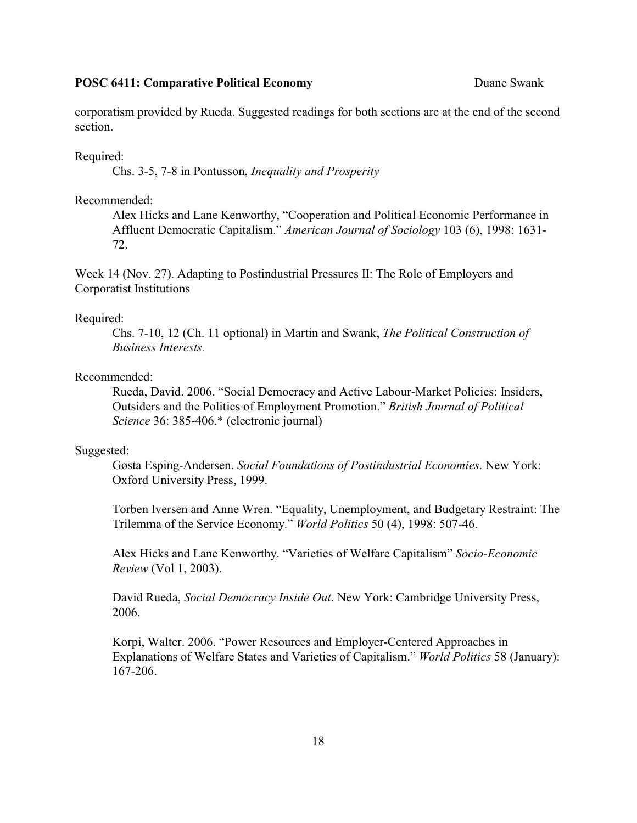corporatism provided by Rueda. Suggested readings for both sections are at the end of the second section.

Required:

Chs. 3-5, 7-8 in Pontusson, *Inequality and Prosperity*

#### Recommended:

Alex Hicks and Lane Kenworthy, "Cooperation and Political Economic Performance in Affluent Democratic Capitalism." *American Journal of Sociology* 103 (6), 1998: 1631- 72.

Week 14 (Nov. 27). Adapting to Postindustrial Pressures II: The Role of Employers and Corporatist Institutions

#### Required:

Chs. 7-10, 12 (Ch. 11 optional) in Martin and Swank, *The Political Construction of Business Interests.*

### Recommended:

Rueda, David. 2006. "Social Democracy and Active Labour-Market Policies: Insiders, Outsiders and the Politics of Employment Promotion." *British Journal of Political Science* 36: 385-406.\* (electronic journal)

#### Suggested:

Gøsta Esping-Andersen. *Social Foundations of Postindustrial Economies*. New York: Oxford University Press, 1999.

Torben Iversen and Anne Wren. "Equality, Unemployment, and Budgetary Restraint: The Trilemma of the Service Economy." *World Politics* 50 (4), 1998: 507-46.

Alex Hicks and Lane Kenworthy. "Varieties of Welfare Capitalism" *Socio-Economic Review* (Vol 1, 2003).

David Rueda, *Social Democracy Inside Out*. New York: Cambridge University Press, 2006.

Korpi, Walter. 2006. "Power Resources and Employer-Centered Approaches in Explanations of Welfare States and Varieties of Capitalism." *World Politics* 58 (January): 167-206.